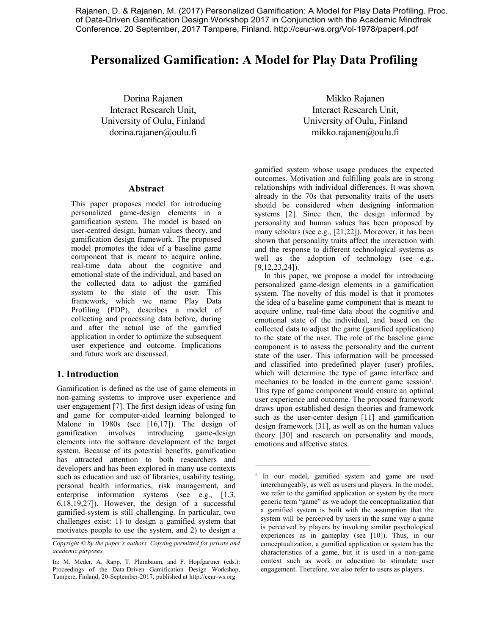Rajanen, D. & Rajanen, M. (2017) Personalized Gamification: A Model for Play Data Profiling. Proc. of Data-Driven Gamification Design Workshop 2017 in Conjunction with the Academic Mindtrek Conference. 20 September, 2017 Tampere, Finland. http://ceur-ws.org/Vol-1978/paper4.pdf

# **Personalized Gamification: A Model for Play Data Profiling**

 $\overline{a}$ 

Dorina Rajanen Interact Research Unit, University of Oulu, Finland dorina.rajanen@oulu.fi

#### **Abstract**

This paper proposes model for introducing personalized game-design elements in a gamification system. The model is based on user-centred design, human values theory, and gamification design framework. The proposed model promotes the idea of a baseline game component that is meant to acquire online, real-time data about the cognitive and emotional state of the individual, and based on the collected data to adjust the gamified system to the state of the user. This framework, which we name Play Data Profiling (PDP), describes a model of collecting and processing data before, during and after the actual use of the gamified application in order to optimize the subsequent user experience and outcome. Implications and future work are discussed.

## **1. Introduction**

Gamification is defined as the use of game elements in non-gaming systems to improve user experience and user engagement [7]. The first design ideas of using fun and game for computer-aided learning belonged to Malone in 1980s (see [16,17]). The design of gamification involves introducing game-design elements into the software development of the target system. Because of its potential benefits, gamification has attracted attention to both researchers and developers and has been explored in many use contexts such as education and use of libraries, usability testing, personal health informatics, risk management, and enterprise information systems (see e.g., [1,3, 6,18,19,27]). However, the design of a successful gamified-system is still challenging. In particular, two challenges exist: 1) to design a gamified system that motivates people to use the system, and 2) to design a

Mikko Rajanen Interact Research Unit, University of Oulu, Finland mikko.rajanen@oulu.fi

gamified system whose usage produces the expected outcomes. Motivation and fulfilling goals are in strong relationships with individual differences. It was shown already in the 70s that personality traits of the users should be considered when designing information systems [2]. Since then, the design informed by personality and human values has been proposed by many scholars (see e.g., [21,22]). Moreover, it has been shown that personality traits affect the interaction with and the response to different technological systems as well as the adoption of technology (see e.g., [9,12,23,24]).

In this paper, we propose a model for introducing personalized game-design elements in a gamification system. The novelty of this model is that it promotes the idea of a baseline game component that is meant to acquire online, real-time data about the cognitive and emotional state of the individual, and based on the collected data to adjust the game (gamified application) to the state of the user. The role of the baseline game component is to assess the personality and the current state of the user. This information will be processed and classified into predefined player (user) profiles, which will determine the type of game interface and mechanics to be loaded in the current game session<sup>1</sup>. This type of game component would ensure an optimal user experience and outcome. The proposed framework draws upon established design theories and framework such as the user-center design [11] and gamification design framework [31], as well as on the human values theory [30] and research on personality and moods, emotions and affective states.

*Copyright © by the paper's authors. Copying permitted for private and academic purposes.*

In: M. Meder, A. Rapp, T. Plumbaum, and F. Hopfgartner (eds.): Proceedings of the Data-Driven Gamification Design Workshop, Tampere, Finland, 20-September-2017, published at http://ceur-ws.org

<sup>&</sup>lt;sup>1</sup> In our model, gamified system and game are used interchangeably, as well as users and players. In the model, we refer to the gamified application or system by the more generic term "game" as we adopt the conceptualization that a gamified system is built with the assumption that the system will be perceived by users in the same way a game is perceived by players by invoking similar psychological experiences as in gameplay (see [10]). Thus, in our conceptualization, a gamified application or system has the characteristics of a game, but it is used in a non-game context such as work or education to stimulate user engagement. Therefore, we also refer to users as players.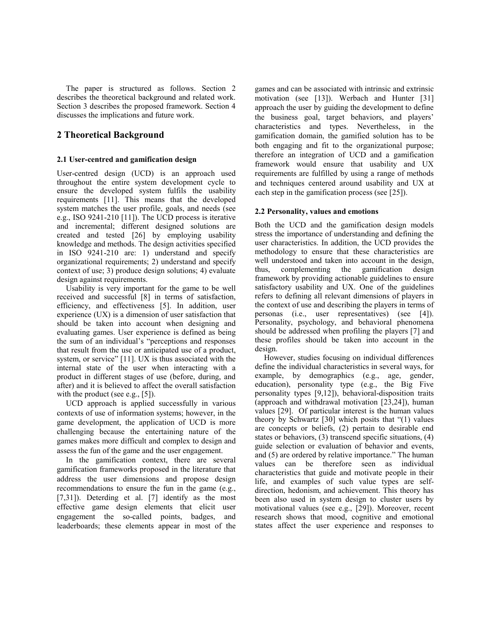The paper is structured as follows. Section 2 describes the theoretical background and related work. Section 3 describes the proposed framework. Section 4 discusses the implications and future work.

## **2 Theoretical Background**

#### **2.1 User-centred and gamification design**

User-centred design (UCD) is an approach used throughout the entire system development cycle to ensure the developed system fulfils the usability requirements [11]. This means that the developed system matches the user profile, goals, and needs (see e.g., ISO 9241-210 [11]). The UCD process is iterative and incremental; different designed solutions are created and tested [26] by employing usability knowledge and methods. The design activities specified in ISO 9241-210 are: 1) understand and specify organizational requirements; 2) understand and specify context of use; 3) produce design solutions; 4) evaluate design against requirements.

Usability is very important for the game to be well received and successful [8] in terms of satisfaction, efficiency, and effectiveness [5]. In addition, user experience (UX) is a dimension of user satisfaction that should be taken into account when designing and evaluating games. User experience is defined as being the sum of an individual's "perceptions and responses that result from the use or anticipated use of a product, system, or service" [11]. UX is thus associated with the internal state of the user when interacting with a product in different stages of use (before, during, and after) and it is believed to affect the overall satisfaction with the product (see e.g., [5]).

UCD approach is applied successfully in various contexts of use of information systems; however, in the game development, the application of UCD is more challenging because the entertaining nature of the games makes more difficult and complex to design and assess the fun of the game and the user engagement.

In the gamification context, there are several gamification frameworks proposed in the literature that address the user dimensions and propose design recommendations to ensure the fun in the game (e.g., [7,31]). Deterding et al. [7] identify as the most effective game design elements that elicit user engagement the so-called points, badges, and leaderboards; these elements appear in most of the

games and can be associated with intrinsic and extrinsic motivation (see [13]). Werbach and Hunter [31] approach the user by guiding the development to define the business goal, target behaviors, and players' characteristics and types. Nevertheless, in the gamification domain, the gamified solution has to be both engaging and fit to the organizational purpose; therefore an integration of UCD and a gamification framework would ensure that usability and UX requirements are fulfilled by using a range of methods and techniques centered around usability and UX at each step in the gamification process (see [25]).

## **2.2 Personality, values and emotions**

Both the UCD and the gamification design models stress the importance of understanding and defining the user characteristics. In addition, the UCD provides the methodology to ensure that these characteristics are well understood and taken into account in the design, thus, complementing the gamification design framework by providing actionable guidelines to ensure satisfactory usability and UX. One of the guidelines refers to defining all relevant dimensions of players in the context of use and describing the players in terms of personas (i.e., user representatives) (see [4]). Personality, psychology, and behavioral phenomena should be addressed when profiling the players [7] and these profiles should be taken into account in the design.

However, studies focusing on individual differences define the individual characteristics in several ways, for example, by demographics (e.g., age, gender, education), personality type (e.g., the Big Five personality types [9,12]), behavioral-disposition traits (approach and withdrawal motivation [23,24]), human values [29]. Of particular interest is the human values theory by Schwartz [30] which posits that "(1) values are concepts or beliefs, (2) pertain to desirable end states or behaviors, (3) transcend specific situations, (4) guide selection or evaluation of behavior and events, and (5) are ordered by relative importance." The human values can be therefore seen as individual characteristics that guide and motivate people in their life, and examples of such value types are selfdirection, hedonism, and achievement. This theory has been also used in system design to cluster users by motivational values (see e.g., [29]). Moreover, recent research shows that mood, cognitive and emotional states affect the user experience and responses to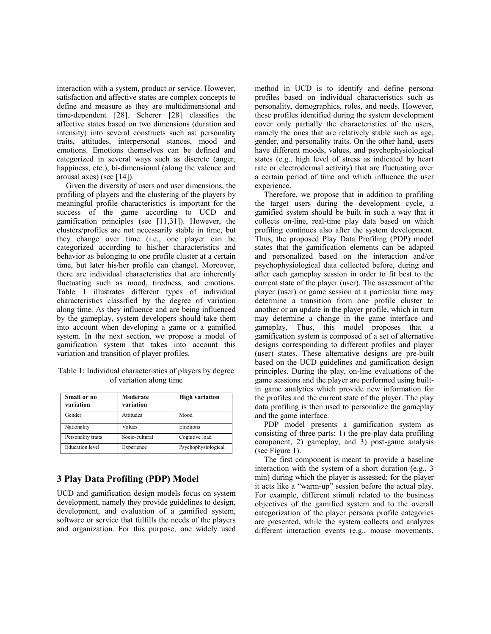interaction with a system, product or service. However, satisfaction and affective states are complex concepts to define and measure as they are multidimensional and time-dependent [28]. Scherer [28] classifies the affective states based on two dimensions (duration and intensity) into several constructs such as: personality traits, attitudes, interpersonal stances, mood and emotions. Emotions themselves can be defined and categorized in several ways such as discrete (anger, happiness, etc.), bi-dimensional (along the valence and arousal axes) (see [14]).

Given the diversity of users and user dimensions, the profiling of players and the clustering of the players by meaningful profile characteristics is important for the success of the game according to UCD and gamification principles (see [11,31]). However, the clusters/profiles are not necessarily stable in time, but they change over time (i.e., one player can be categorized according to his/her characteristics and behavior as belonging to one profile cluster at a certain time, but later his/her profile can change). Moreover, there are individual characteristics that are inherently fluctuating such as mood, tiredness, and emotions. Table 1 illustrates different types of individual characteristics classified by the degree of variation along time. As they influence and are being influenced by the gameplay, system developers should take them into account when developing a game or a gamified system. In the next section, we propose a model of gamification system that takes into account this variation and transition of player profiles.

Table 1: Individual characteristics of players by degree of variation along time

| Small or no<br>variation | Moderate<br>variation | <b>High variation</b> |
|--------------------------|-----------------------|-----------------------|
| Gender                   | Attitudes             | Mood                  |
| Nationality              | Values                | Emotions              |
| Personality traits       | Socio-cultural        | Cognitive load        |
| <b>Education</b> level   | Experience            | Psychophysiological   |

## **3 Play Data Profiling (PDP) Model**

UCD and gamification design models focus on system development, namely they provide guidelines to design, development, and evaluation of a gamified system, software or service that fulfills the needs of the players and organization. For this purpose, one widely used

method in UCD is to identify and define persona profiles based on individual characteristics such as personality, demographics, roles, and needs. However, these profiles identified during the system development cover only partially the characteristics of the users, namely the ones that are relatively stable such as age, gender, and personality traits. On the other hand, users have different moods, values, and psychophysiological states (e.g., high level of stress as indicated by heart rate or electrodermal activity) that are fluctuating over a certain period of time and which influence the user experience.

Therefore, we propose that in addition to profiling the target users during the development cycle, a gamified system should be built in such a way that it collects on-line, real-time play data based on which profiling continues also after the system development. Thus, the proposed Play Data Profiling (PDP) model states that the gamification elements can be adapted and personalized based on the interaction and/or psychophysiological data collected before, during and after each gameplay session in order to fit best to the current state of the player (user). The assessment of the player (user) or game session at a particular time may determine a transition from one profile cluster to another or an update in the player profile, which in turn may determine a change in the game interface and gameplay. Thus, this model proposes that a gamification system is composed of a set of alternative designs corresponding to different profiles and player (user) states. These alternative designs are pre-built based on the UCD guidelines and gamification design principles. During the play, on-line evaluations of the game sessions and the player are performed using builtin game analytics which provide new information for the profiles and the current state of the player. The play data profiling is then used to personalize the gameplay and the game interface.

PDP model presents a gamification system as consisting of three parts: 1) the pre-play data profiling component, 2) gameplay, and 3) post-game analysis (see Figure 1).

The first component is meant to provide a baseline interaction with the system of a short duration (e.g., 3 min) during which the player is assessed; for the player it acts like a "warm-up" session before the actual play. For example, different stimuli related to the business objectives of the gamified system and to the overall categorization of the player persona profile categories are presented, while the system collects and analyzes different interaction events (e.g., mouse movements,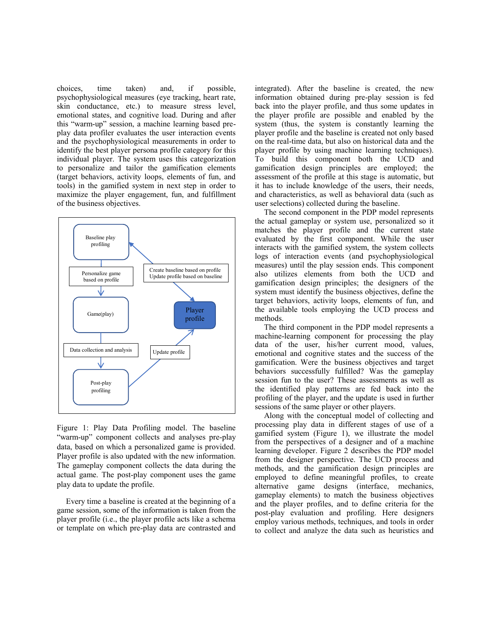choices, time taken) and, if possible, psychophysiological measures (eye tracking, heart rate, skin conductance, etc.) to measure stress level, emotional states, and cognitive load. During and after this "warm-up" session, a machine learning based preplay data profiler evaluates the user interaction events and the psychophysiological measurements in order to identify the best player persona profile category for this individual player. The system uses this categorization to personalize and tailor the gamification elements (target behaviors, activity loops, elements of fun, and tools) in the gamified system in next step in order to maximize the player engagement, fun, and fulfillment of the business objectives.



Figure 1: Play Data Profiling model. The baseline "warm-up" component collects and analyses pre-play data, based on which a personalized game is provided. Player profile is also updated with the new information. The gameplay component collects the data during the actual game. The post-play component uses the game play data to update the profile.

Every time a baseline is created at the beginning of a game session, some of the information is taken from the player profile (i.e., the player profile acts like a schema or template on which pre-play data are contrasted and

integrated). After the baseline is created, the new information obtained during pre-play session is fed back into the player profile, and thus some updates in the player profile are possible and enabled by the system (thus, the system is constantly learning the player profile and the baseline is created not only based on the real-time data, but also on historical data and the player profile by using machine learning techniques). To build this component both the UCD and gamification design principles are employed; the assessment of the profile at this stage is automatic, but it has to include knowledge of the users, their needs, and characteristics, as well as behavioral data (such as user selections) collected during the baseline.

The second component in the PDP model represents the actual gameplay or system use, personalized so it matches the player profile and the current state evaluated by the first component. While the user interacts with the gamified system, the system collects logs of interaction events (and psychophysiological measures) until the play session ends. This component also utilizes elements from both the UCD and gamification design principles; the designers of the system must identify the business objectives, define the target behaviors, activity loops, elements of fun, and the available tools employing the UCD process and methods.

The third component in the PDP model represents a machine-learning component for processing the play data of the user, his/her current mood, values, emotional and cognitive states and the success of the gamification. Were the business objectives and target behaviors successfully fulfilled? Was the gameplay session fun to the user? These assessments as well as the identified play patterns are fed back into the profiling of the player, and the update is used in further sessions of the same player or other players.

Along with the conceptual model of collecting and processing play data in different stages of use of a gamified system (Figure 1), we illustrate the model from the perspectives of a designer and of a machine learning developer. Figure 2 describes the PDP model from the designer perspective. The UCD process and methods, and the gamification design principles are employed to define meaningful profiles, to create alternative game designs (interface, mechanics, gameplay elements) to match the business objectives and the player profiles, and to define criteria for the post-play evaluation and profiling. Here designers employ various methods, techniques, and tools in order to collect and analyze the data such as heuristics and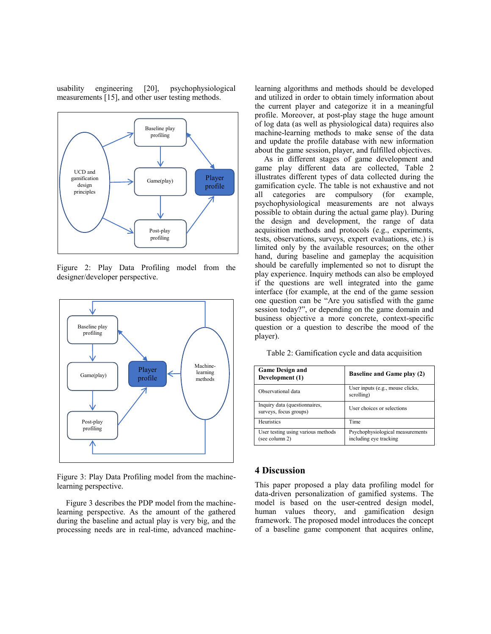usability engineering [20], psychophysiological measurements [15], and other user testing methods.



Figure 2: Play Data Profiling model from the designer/developer perspective.



Figure 3: Play Data Profiling model from the machinelearning perspective.

Figure 3 describes the PDP model from the machinelearning perspective. As the amount of the gathered during the baseline and actual play is very big, and the processing needs are in real-time, advanced machinelearning algorithms and methods should be developed and utilized in order to obtain timely information about the current player and categorize it in a meaningful profile. Moreover, at post-play stage the huge amount of log data (as well as physiological data) requires also machine-learning methods to make sense of the data and update the profile database with new information about the game session, player, and fulfilled objectives.

As in different stages of game development and game play different data are collected, Table 2 illustrates different types of data collected during the gamification cycle. The table is not exhaustive and not all categories are compulsory (for example, psychophysiological measurements are not always possible to obtain during the actual game play). During the design and development, the range of data acquisition methods and protocols (e.g., experiments, tests, observations, surveys, expert evaluations, etc.) is limited only by the available resources; on the other hand, during baseline and gameplay the acquisition should be carefully implemented so not to disrupt the play experience. Inquiry methods can also be employed if the questions are well integrated into the game interface (for example, at the end of the game session one question can be "Are you satisfied with the game session today?", or depending on the game domain and business objective a more concrete, context-specific question or a question to describe the mood of the player).

Table 2: Gamification cycle and data acquisition

| <b>Game Design and</b><br>Development (1)               | <b>Baseline and Game play (2)</b>                          |
|---------------------------------------------------------|------------------------------------------------------------|
| Observational data                                      | User inputs (e.g., mouse clicks,<br>scrolling)             |
| Inquiry data (questionnaires,<br>surveys, focus groups) | User choices or selections                                 |
| Heuristics                                              | Time                                                       |
| User testing using various methods<br>(see column 2)    | Psychophysiological measurements<br>including eye tracking |

## **4 Discussion**

This paper proposed a play data profiling model for data-driven personalization of gamified systems. The model is based on the user-centred design model, human values theory, and gamification design framework. The proposed model introduces the concept of a baseline game component that acquires online,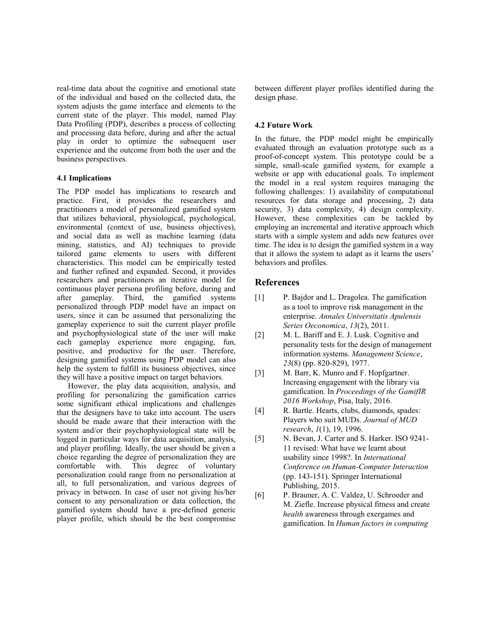real-time data about the cognitive and emotional state of the individual and based on the collected data, the system adjusts the game interface and elements to the current state of the player. This model, named Play Data Profiling (PDP), describes a process of collecting and processing data before, during and after the actual play in order to optimize the subsequent user experience and the outcome from both the user and the business perspectives.

#### **4.1 Implications**

The PDP model has implications to research and practice. First, it provides the researchers and practitioners a model of personalized gamified system that utilizes behavioral, physiological, psychological, environmental (context of use, business objectives), and social data as well as machine learning (data mining, statistics, and AI) techniques to provide tailored game elements to users with different characteristics. This model can be empirically tested and further refined and expanded. Second, it provides researchers and practitioners an iterative model for continuous player persona profiling before, during and after gameplay. Third, the gamified systems personalized through PDP model have an impact on users, since it can be assumed that personalizing the gameplay experience to suit the current player profile and psychophysiological state of the user will make each gameplay experience more engaging, fun, positive, and productive for the user. Therefore, designing gamified systems using PDP model can also help the system to fulfill its business objectives, since they will have a positive impact on target behaviors.

However, the play data acquisition, analysis, and profiling for personalizing the gamification carries some significant ethical implications and challenges that the designers have to take into account. The users should be made aware that their interaction with the system and/or their psychophysiological state will be logged in particular ways for data acquisition, analysis, and player profiling. Ideally, the user should be given a choice regarding the degree of personalization they are comfortable with. This degree of voluntary personalization could range from no personalization at all, to full personalization, and various degrees of privacy in between. In case of user not giving his/her consent to any personalization or data collection, the gamified system should have a pre-defined generic player profile, which should be the best compromise between different player profiles identified during the design phase.

## **4.2 Future Work**

In the future, the PDP model might be empirically evaluated through an evaluation prototype such as a proof-of-concept system. This prototype could be a simple, small-scale gamified system, for example a website or app with educational goals. To implement the model in a real system requires managing the following challenges: 1) availability of computational resources for data storage and processing, 2) data security, 3) data complexity, 4) design complexity. However, these complexities can be tackled by employing an incremental and iterative approach which starts with a simple system and adds new features over time. The idea is to design the gamified system in a way that it allows the system to adapt as it learns the users' behaviors and profiles.

# **References**

- [1] P. Bajdor and L. Dragolea. The gamification as a tool to improve risk management in the enterprise. *Annales Universitatis Apulensis Series Oeconomica*, *13*(2), 2011.
- [2] M. L. Bariff and E. J. Lusk. Cognitive and personality tests for the design of management information systems. *Management Science*, *23*(8) (pp. 820-829), 1977.
- [3] M. Barr, K. Munro and F. Hopfgartner. Increasing engagement with the library via gamification. In *Proceedings of the GamifIR 2016 Workshop*, Pisa, Italy, 2016.
- [4] R. Bartle. Hearts, clubs, diamonds, spades: Players who suit MUDs. *Journal of MUD research*, *1*(1), 19, 1996.
- [5] N. Bevan, J. Carter and S. Harker. ISO 9241- 11 revised: What have we learnt about usability since 1998?. In *International Conference on Human-Computer Interaction* (pp. 143-151). Springer International Publishing, 2015.
- [6] P. Brauner, A. C. Valdez, U. Schroeder and M. Ziefle. Increase physical fitness and create *health* awareness through exergames and gamification. In *Human factors in computing*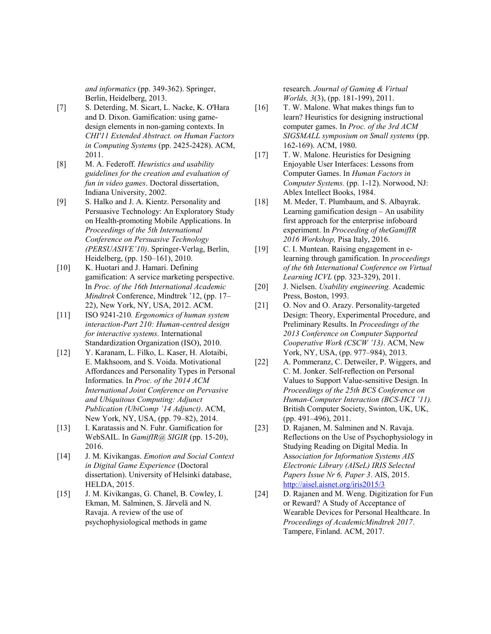*and informatics* (pp. 349-362). Springer, Berlin, Heidelberg, 2013.

- [7] S. Deterding, M. Sicart, L. Nacke, K. O'Hara and D. Dixon. Gamification: using gamedesign elements in non-gaming contexts. In *CHI'11 Extended Abstract. on Human Factors in Computing Systems* (pp. 2425-2428). ACM, 2011.
- [8] M. A. Federoff. *Heuristics and usability guidelines for the creation and evaluation of fun in video games*. Doctoral dissertation, Indiana University, 2002.
- [9] S. Halko and J. A. Kientz. Personality and Persuasive Technology: An Exploratory Study on Health-promoting Mobile Applications. In *Proceedings of the 5th International Conference on Persuasive Technology (PERSUASIVE'10)*. Springer-Verlag, Berlin, Heidelberg, (pp. 150–161), 2010.
- [10] K. Huotari and J. Hamari. Defining gamification: A service marketing perspective. In *Proc. of the 16th International Academic Mindtrek* Conference, Mindtrek '12, (pp. 17– 22), New York, NY, USA, 2012. ACM.
- [11] ISO 9241-210*. Ergonomics of human system interaction-Part 210: Human-centred design for interactive systems*. International Standardization Organization (ISO), 2010.
- [12] Y. Karanam, L. Filko, L. Kaser, H. Alotaibi, E. Makhsoom, and S. Voida. Motivational Affordances and Personality Types in Personal Informatics. In *Proc. of the 2014 ACM International Joint Conference on Pervasive and Ubiquitous Computing: Adjunct Publication (UbiComp '14 Adjunct)*. ACM, New York, NY, USA, (pp. 79–82), 2014.
- [13] I. Karatassis and N. Fuhr. Gamification for WebSAIL. In *GamifIR@ SIGIR* (pp. 15-20), 2016.
- [14] J. M. Kivikangas. *Emotion and Social Context in Digital Game Experience* (Doctoral dissertation). University of Helsinki database, HELDA, 2015.
- [15] J. M. Kivikangas, G. Chanel, B. Cowley, I. Ekman, M. Salminen, S. Järvelä and N. Ravaja. A review of the use of psychophysiological methods in game

research. *Journal of Gaming & Virtual Worlds, 3*(3), (pp. 181-199), 2011.

- [16] T. W. Malone. What makes things fun to learn? Heuristics for designing instructional computer games. In *Proc. of the 3rd ACM SIGSMALL symposium on Small systems* (pp. 162-169). ACM, 1980.
- [17] T. W. Malone. Heuristics for Designing Enjoyable User Interfaces: Lessons from Computer Games. In *Human Factors in Computer Systems.* (pp. 1-12). Norwood, NJ: Ablex Intellect Books, 1984.
- [18] M. Meder, T. Plumbaum, and S. Albayrak. Learning gamification design – An usability first approach for the enterprise infoboard experiment. In *Proceeding of theGamifIR 2016 Workshop,* Pisa Italy, 2016.
- [19] C. I. Muntean. Raising engagement in elearning through gamification. In *proceedings of the 6th International Conference on Virtual Learning ICVL* (pp. 323-329), 2011.
- [20] J. Nielsen. *Usability engineering.* Academic Press, Boston, 1993.
- [21] O. Nov and O. Arazy. Personality-targeted Design: Theory, Experimental Procedure, and Preliminary Results. In *Proceedings of the 2013 Conference on Computer Supported Cooperative Work (CSCW '13)*. ACM, New York, NY, USA, (pp. 977–984), 2013.
- [22] A. Pommeranz, C. Detweiler, P. Wiggers, and C. M. Jonker. Self-reflection on Personal Values to Support Value-sensitive Design. In *Proceedings of the 25th BCS Conference on Human-Computer Interaction (BCS-HCI '11).* British Computer Society, Swinton, UK, UK, (pp. 491–496), 2011.
- [23] D. Rajanen, M. Salminen and N. Ravaja. Reflections on the Use of Psychophysiology in Studying Reading on Digital Media. In Ass*ociation for Information Systems AIS Electronic Library (AISeL) IRIS Selected Papers Issue Nr 6, Paper 3*. AIS, 2015. <http://aisel.aisnet.org/iris2015/3>
- [24] D. Rajanen and M. Weng. Digitization for Fun or Reward? A Study of Acceptance of Wearable Devices for Personal Healthcare. In *Proceedings of AcademicMindtrek 2017*. Tampere, Finland. ACM, 2017.